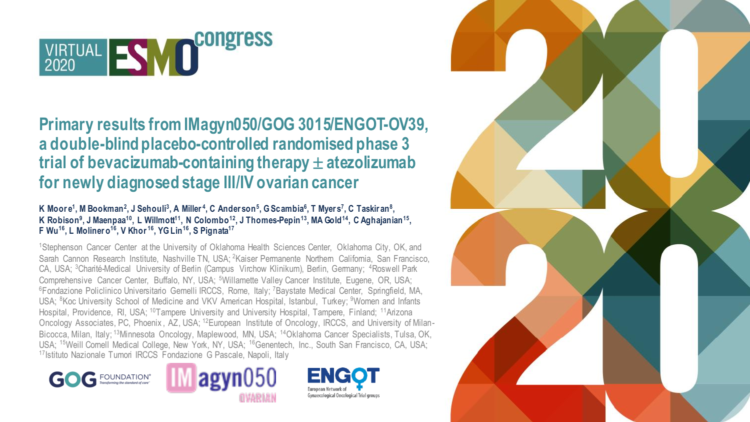

### **Primary results from IMagyn050/GOG 3015/ENGOT-OV39, a double-blind placebo-controlled randomised phase 3 trial of bevacizumab-containing therapy**  $\pm$  **atezolizumab for newly diagnosed stage III/IV ovarian cancer**

### K Moore<sup>1</sup>, M Bookman<sup>2</sup>, J Sehouli<sup>3</sup>, A Miller<sup>4</sup>, C Anderson<sup>5</sup>, G Scambia<sup>6</sup>, T Myers<sup>7</sup>, C Taskiran<sup>8</sup>, **K Robison<sup>9</sup> , J Maenpaa<sup>10</sup>, L Willmott<sup>11</sup>, N Colombo<sup>12</sup>, J Thomes-Pepin<sup>13</sup>, MA Gold<sup>14</sup>, C Aghajanian<sup>15</sup> , F Wu<sup>16</sup>, L Moliner o<sup>16</sup>, V Khor <sup>16</sup>, YG Lin<sup>16</sup>, S Pignata<sup>17</sup>**

<sup>1</sup>Stephenson Cancer Center at the University of Oklahoma Health Sciences Center, Oklahoma City, OK, and Sarah Cannon Research Institute, Nashville TN, USA; <sup>2</sup>Kaiser Permanente Northern California, San Francisco, CA, USA; <sup>3</sup>Charité-Medical University of Berlin (Campus Virchow Klinikum), Berlin, Germany; <sup>4</sup>Roswell Park Comprehensive Cancer Center, Buffalo, NY, USA; <sup>5</sup>Willamette Valley Cancer Institute, Eugene, OR, USA; <sup>6</sup>Fondazione Policlinico Universitario Gemelli IRCCS, Rome, Italy; <sup>7</sup>Baystate Medical Center, Springfield, MA, USA; <sup>8</sup>Koc University School of Medicine and VKV American Hospital, Istanbul, Turkey; <sup>9</sup>Women and Infants Hospital, Providence, RI, USA; <sup>10</sup>Tampere University and University Hospital, Tampere, Finland; <sup>11</sup>Arizona Oncology Associates, PC, Phoenix , AZ, USA; 12European Institute of Oncology, IRCCS, and University of Milan-Bicocca, Milan, Italy; <sup>13</sup>Minnesota Oncology, Maplewood, MN, USA; <sup>14</sup>Oklahoma Cancer Specialists, Tulsa, OK, USA; <sup>15</sup>Weill Cornell Medical College, New York, NY, USA; <sup>16</sup>Genentech, Inc., South San Francisco, CA, USA; <sup>17</sup>Istituto Nazionale Tumori IRCCS Fondazione G Pascale, Napoli, Italy







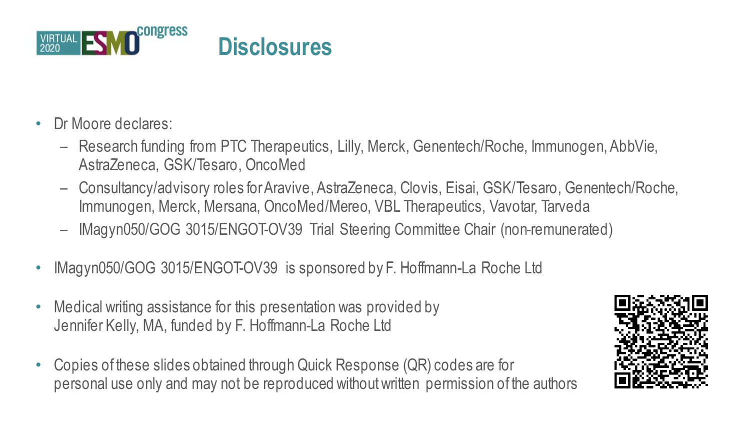

- Dr Moore declares:
	- Research funding from PTC Therapeutics, Lilly, Merck, Genentech/Roche, Immunogen, AbbVie, AstraZeneca, GSK/Tesaro, OncoMed
	- Consultancy/advisory roles for Aravive, AstraZeneca, Clovis, Eisai, GSK/Tesaro, Genentech/Roche, Immunogen, Merck, Mersana, OncoMed/Mereo, VBL Therapeutics, Vavotar, Tarveda
	- IMagyn050/GOG 3015/ENGOT-OV39 Trial Steering Committee Chair (non-remunerated)
- IMagyn050/GOG 3015/ENGOT-OV39 is sponsored by F. Hoffmann-La Roche Ltd
- Medical writing assistance for this presentation was provided by Jennifer Kelly, MA, funded by F. Hoffmann-La Roche Ltd
- Copies of these slides obtained through Quick Response (QR) codes are for personal use only and may not be reproduced without written permission of the authors

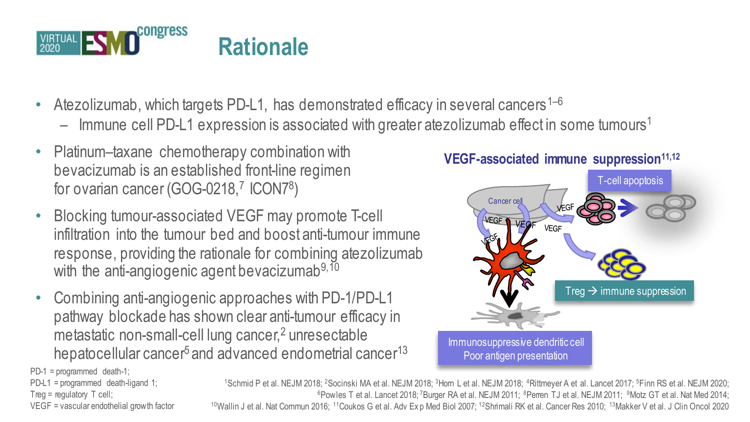

- Atezolizumab, which targets PD-L1, has demonstrated efficacy in several cancers<sup>1–6</sup>
	- $-$  Immune cell PD-L1 expression is associated with greater atezolizumab effect in some tumours<sup>1</sup>
- Platinum–taxane chemotherapy combination with bevacizumab is an established front-line regimen for ovarian cancer (GOG-0218,<sup>7</sup> ICON7<sup>8</sup>)
- Blocking tumour-associated VEGF may promote T-cell infiltration into the tumour bed and boost anti-tumour immune response, providing the rationale for combining atezolizumab with the anti-angiogenic agent bevacizumab<sup>9,10</sup>
- Combining anti-angiogenic approaches with PD-1/PD-L1 pathway blockade has shown clear anti-tumour efficacy in metastatic non-small-cell lung cancer,<sup>2</sup> unresectable hepatocellular cancer<sup>5</sup> and advanced endometrial cancer<sup>13</sup>





PD-1 = programmed death-1;

PD-L1 = programmed death-ligand 1; Treg = regulatory T cell; VEGF = vascular endothelial growth factor

<sup>1</sup>Schmid P et al. NEJM 2018; <sup>2</sup>Socinski MA et al. NEJM 2018; <sup>3</sup>Hom L et al. NEJM 2018; <sup>4</sup>Rittmeyer A et al. Lancet 2017; <sup>5</sup>Finn RS et al. NEJM 2020; <sup>6</sup>Powles T et al. Lancet 2018; <sup>7</sup>Burger RA et al. NEJM 2011; <sup>8</sup>Perren TJ et al. NEJM 2011; <sup>9</sup>Motz GT et al. Nat Med 2014; <sup>10</sup>Wallin J et al. Nat Commun 2016; <sup>11</sup>Coukos G et al. Adv Ex p Med Biol 2007; <sup>12</sup>Shrimali RK et al. Cancer Res 2010; <sup>13</sup>Makker V et al. J Clin Oncol 2020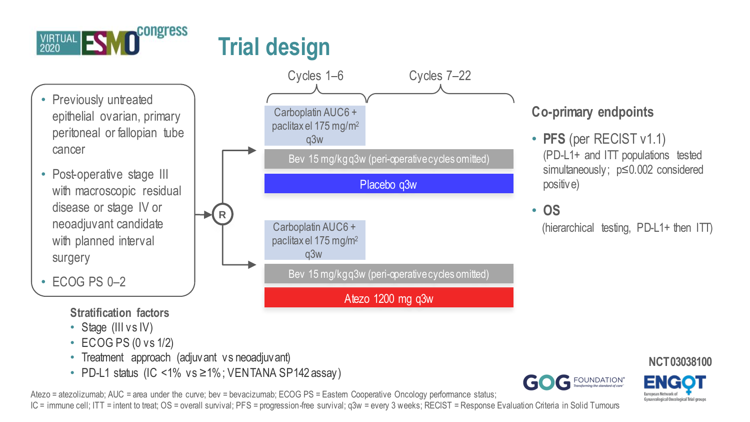

- Previously untreated epithelial ovarian, primary peritoneal or fallopian tube cancer
- Post-operative stage III with macroscopic residual disease or stage IV or neoadjuvant candidate with planned interval surgery

 $\cdot$  FCOG PS 0-2

**Stratification factors**

- Stage (III vs IV)
- ECOG PS (0 vs 1/2)
- Treatment approach (adjuvant vs neoadjuvant)
- PD-L1 status (IC <1% vs ≥1%; VENTANA SP142 assay)

**R**

Atezo = atezolizumab; AUC = area under the curve; bev = bevacizumab; ECOG PS = Eastern Cooperative Oncology performance status;

IC = immune cell; ITT = intent to treat; OS = overall survival; PFS = progression-free survival; q3w = every 3 weeks; RECIST = Response Evaluation Criteria in Solid Tumours

### Carboplatin AUC6 + paclitax el 175 mg/m<sup>2</sup> q3w Bev 15 mg/kg q3w (peri-operative cycles omitted) Placebo q3w Atezo 1200 mg q3w Cycles 1–6 Cycles 7–22 Bev 15 mg/kg q 3w (peri-operative cycles omitted), Carboplatin AUC6 + paclitax el 175 mg/m<sup>2</sup> q3w

### **Co-primary endpoints**

- **PFS** (per RECIST v1.1) (PD-L1+ and ITT populations tested simultaneously; p≤0.002 considered positive)
- **OS**

(hierarchical testing, PD-L1+ then ITT)



**NCT03038100**

naecological Oncological Trial group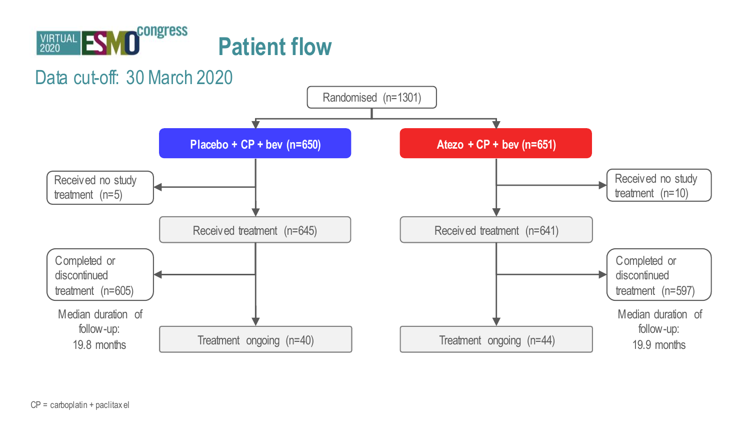

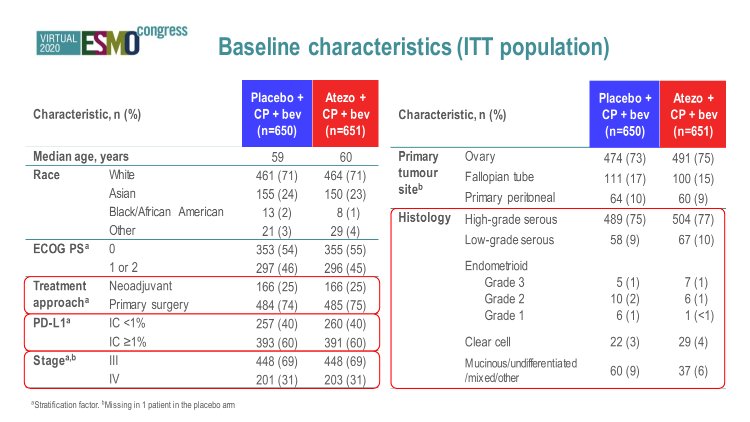

# **Baseline characteristics (ITT population)**

| Characteristic, n (%)      |                        | Placebo +<br>$CP + beV$<br>$(n=650)$ | Atezo $+$<br>$CP + bev$<br>$(n=651)$ | Characteristic, n (%) |                           | Placebo +<br>$CP + beV$<br>$(n=650)$ | Atezo $+$<br>$CP + beV$<br>$(n=651)$ |
|----------------------------|------------------------|--------------------------------------|--------------------------------------|-----------------------|---------------------------|--------------------------------------|--------------------------------------|
| Median age, years          |                        | 59                                   | 60                                   | Primary               | Ovary                     | 474 (73)                             | 491 (75)                             |
| Race                       | White                  | 461 (71)                             | 464 (71)                             | tumour                | Fallopian tube            | 111(17)                              | 100(15)                              |
|                            | Asian                  | 155(24)                              | 150(23)                              | siteb                 | Primary peritoneal        | 64 (10)                              | 60(9)                                |
|                            | Black/African American | 13(2)                                | 8(1)                                 | Histology             | High-grade serous         | 489 (75)                             | 504 (77)                             |
|                            | Other                  | 21(3)                                | 29(4)                                |                       | Low-grade serous          | 58(9)                                | 67 (10)                              |
| <b>ECOG PS<sup>a</sup></b> | $\cup$                 | 353 (54)                             | 355(55)                              |                       |                           |                                      |                                      |
|                            | 1 or $2$               | 297 (46)                             | 296 (45)                             |                       | Endometrioid              |                                      |                                      |
| <b>Treatment</b>           | Neoadjuvant            | 166 (25)                             | 166(25)                              |                       | Grade 3                   | 5(1)                                 | 7(1)                                 |
| approach <sup>a</sup>      | Primary surgery        | 484 (74)                             | 485 (75)                             |                       | Grade 2                   | 10(2)                                | 6(1)                                 |
| PD-L1ª                     | $IC < 1\%$             | 257 (40)                             | 260 (40)                             |                       | Grade 1                   | 6(1)                                 | 1(1)                                 |
|                            | IC $\geq$ 1%           | 393 (60)                             | 391 (60)                             |                       | Clear cell                | 22(3)                                | 29(4)                                |
| Stagea,b                   | $\mathbb{H}$           | 448 (69)                             | 448 (69)                             |                       | Mucinous/undifferentiated |                                      |                                      |
|                            | $\mathsf{IV}$          | 201 (31)                             | 203 (31)                             |                       | /mixed/other              | 60(9)                                | 37(6)                                |

aStratification factor. <sup>b</sup>Missing in 1 patient in the placebo arm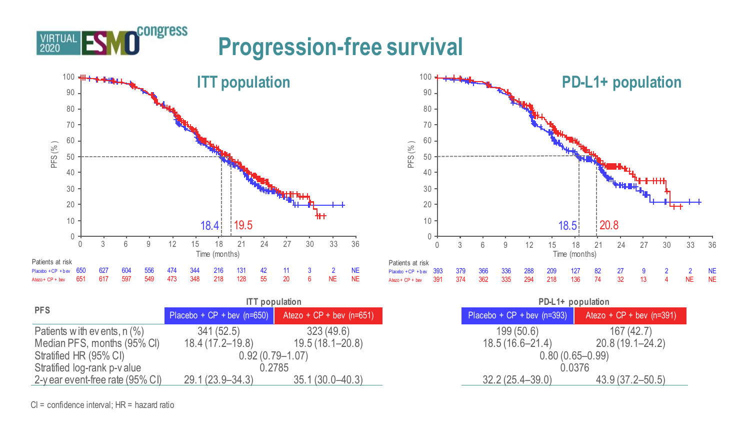

congress

|                                  | <b>ITT</b> population            |                            | PD-L1+ population                                     |
|----------------------------------|----------------------------------|----------------------------|-------------------------------------------------------|
| <b>PFS</b>                       | Placebo + $CP +$ bev ( $n=650$ ) | Atezo + $CP +$ bev (n=651) | Placebo + CP + bev $(n=393)$<br>Atezo + CP + bev (n=3 |
| Patients with events, $n$ $(\%)$ | 341 (52.5)                       | 323(49.6)                  | 199(50.6)                                             |
| Median PFS, months (95% CI)      | 18.4 (17.2–19.8)                 | 19.5 (18.1–20.8)           | 18.5 (16.6–21.4)                                      |
| Stratified HR (95% CI)           | $0.92(0.79 - 1.07)$              |                            | $0.80(0.65 - 0.99)$                                   |
| Stratified log-rank p-v alue     | 0.2785                           |                            | 0.0376                                                |
| 2-y ear event-free rate (95% CI) | 29.1 (23.9–34.3)                 | $35.1(30.0 - 40.3)$        | $32.2(25.4 - 39.0)$                                   |



|                              | <b>ITT</b> population      | PD-L1+ population            |                            |
|------------------------------|----------------------------|------------------------------|----------------------------|
| Placebo + $CP +$ bev (n=650) | Atezo + $CP +$ bev (n=651) | Placebo + $CP + bev$ (n=393) | Atezo + $CP +$ bev (n=391) |
| 341 (52.5)                   | 323 (49.6)                 | 199(50.6)                    | 167(42.7)                  |
| 18.4 (17.2–19.8)             | 19.5 (18.1–20.8)           | $18.5(16.6 - 21.4)$          | $20.8(19.1 - 24.2)$        |
|                              | $0.92(0.79 - 1.07)$        |                              | $0.80(0.65 - 0.99)$        |
|                              | 0.2785                     |                              | 0.0376                     |
| $29.1(23.9 - 34.3)$          | $35.1(30.0 - 40.3)$        | $32.2(25.4 - 39.0)$          | 43.9 (37.2–50.5)           |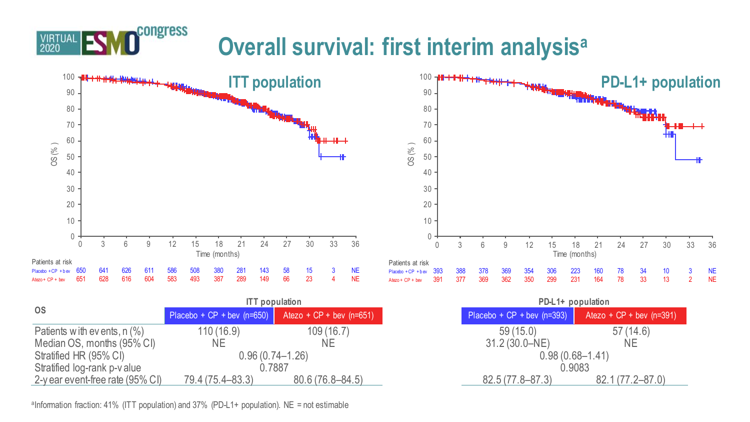# **Overall survival: first interim analysis<sup>a</sup>**



|                                  |                              | <b>ITT</b> population      |
|----------------------------------|------------------------------|----------------------------|
| <b>OS</b>                        | Placebo + $CP +$ bev (n=650) | Atezo + $CP +$ bev (n=651) |
| Patients with events, $n$ $(\%)$ | 110(16.9)                    | 109(16.7)                  |
| Median OS, months (95% CI)       | NΕ                           | ΝE                         |
| Stratified HR (95% CI)           |                              | $0.96(0.74 - 1.26)$        |
| Stratified log-rank p-v alue     |                              | 0.7887                     |
| 2-y ear event-free rate (95% CI) | 79.4 (75.4–83.3)             | $80.6(76.8 - 84.5)$        |

<sup>a</sup>Information fraction: 41% (ITT population) and 37% (PD-L1+ population). NE = not estimable

congress

VIRTUAL

| <b>ITT</b> population                                      |                     |                              | PD-L1+ population          |
|------------------------------------------------------------|---------------------|------------------------------|----------------------------|
| Placebo + CP + bev $(n=650)$<br>Atezo + $CP +$ bev (n=651) |                     | Placebo + $CP + bev$ (n=393) | Atezo + $CP +$ bev (n=391) |
| 110 (16.9)                                                 | 109(16.7)           | 59(15.0)                     | 57(14.6)                   |
| ΝE                                                         | NΕ                  | 31.2 (30.0-NE)               | <b>NE</b>                  |
| $0.96(0.74 - 1.26)$                                        |                     |                              | $0.98(0.68 - 1.41)$        |
| 0.7887                                                     |                     |                              | 0.9083                     |
| 79.4 (75.4–83.3)                                           | $80.6(76.8 - 84.5)$ | 82.5 (77.8–87.3)             | 82.1 (77.2–87.0)           |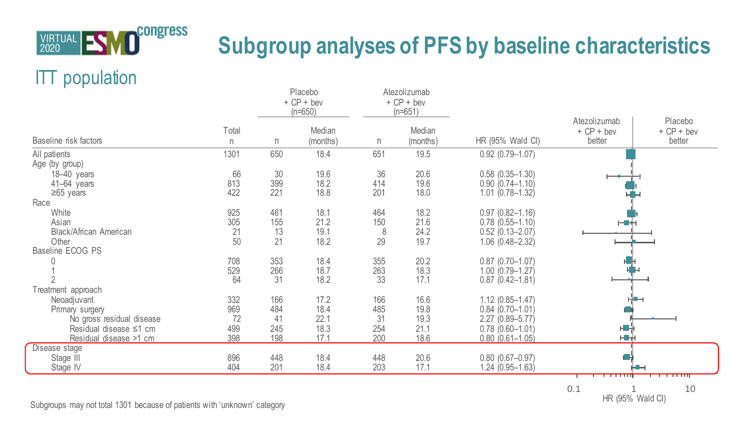

# **Subgroup analyses of PFS by baseline characteristics**

## ITT population

| Total<br>Baseline risk factors<br>n<br>1301<br>All patients<br>Age (by group)<br>66<br>$18-40$ years<br>813<br>41-64 years<br>422<br>$\geq 65$ years<br>Race | n.<br>650  | Median       |            |                    |                                               | Atezolizumab           |                                   |
|--------------------------------------------------------------------------------------------------------------------------------------------------------------|------------|--------------|------------|--------------------|-----------------------------------------------|------------------------|-----------------------------------|
|                                                                                                                                                              |            | (months)     | n          | Median<br>(months) | HR (95% Wald CI)                              | $+ CP + beV$<br>better | Placebo<br>$+ CP + beV$<br>better |
|                                                                                                                                                              |            | 18.4         | 651        | 19.5               | $0.92(0.79 - 1.07)$                           |                        |                                   |
|                                                                                                                                                              |            |              |            |                    |                                               |                        |                                   |
|                                                                                                                                                              | 30         | 19.6         | 36         | 20.6               | $0.58$ $(0.35 - 1.30)$                        |                        |                                   |
|                                                                                                                                                              | 399        | 18.2         | 414        | 19.6               | $0.90(0.74 - 1.10)$                           |                        |                                   |
|                                                                                                                                                              | 221        | 18.8         | 201        | 18.0               | $1.01(0.78 - 1.32)$                           |                        |                                   |
| 925                                                                                                                                                          | 461        | 18.1         | 464        | 18.2               | $0.97$ $(0.82 - 1.16)$                        |                        |                                   |
| White<br>305<br>Asian                                                                                                                                        | 155        | 21.2         | 150        | 21.6               | $0.78(0.55 - 1.10)$                           | 计量化                    |                                   |
| 21<br>Black/African American                                                                                                                                 | 13         | 19.1         | 8          | 24.2               | $0.52$ $(0.13 - 2.07)$                        |                        |                                   |
| Other<br>50                                                                                                                                                  | 21         | 18.2         | 29         | 19.7               | $1.06$ $(0.48 - 2.32)$                        |                        |                                   |
| Baseline ECOG PS                                                                                                                                             |            |              |            |                    |                                               |                        |                                   |
| 708<br>C                                                                                                                                                     | 353        | 18.4         | 355        | 20.2               | $0.87$ (0.70-1.07)                            |                        |                                   |
| 529                                                                                                                                                          | 266        | 18.7         | 263        | 18.3               | $1.00(0.79 - 1.27)$                           |                        |                                   |
| 64                                                                                                                                                           | 31         | 18.2         | 33         | 17.1               | $0.87(0.42 - 1.81)$                           |                        |                                   |
| Treatment approach                                                                                                                                           |            |              |            |                    |                                               |                        |                                   |
| 332<br>Neoadjuvant                                                                                                                                           | 166        | 17.2         | 166        | 16.6               | $1.12(0.85 - 1.47)$                           |                        |                                   |
| 969<br>Primary surgery                                                                                                                                       | 484        | 18.4         | 485        | 19.8               | $0.84(0.70 - 1.01)$                           |                        |                                   |
| 72<br>No gross residual disease                                                                                                                              | 41         | 22.1         | 31         | 19.3               | $2.27(0.89 - 5.77)$                           |                        |                                   |
| 499<br>Residual disease ≤1 cm                                                                                                                                | 245        | 18.3         | 254        | 21.1               | $0.78$ $(0.60 - 1.01)$                        | H.                     |                                   |
| 398<br>Residual disease >1 cm                                                                                                                                | 198        | 17.1         | 200        | 18.6               | $0.80(0.61 - 1.05)$                           | HH                     |                                   |
| Disease stage                                                                                                                                                |            |              |            |                    |                                               |                        |                                   |
| 896<br>Stage III<br>404                                                                                                                                      | 448<br>201 | 18.4<br>18.4 | 448<br>203 | 20.6<br>17.1       | $0.80$ $(0.67 - 0.97)$<br>$1.24(0.95 - 1.63)$ |                        |                                   |
| Stage IV                                                                                                                                                     |            |              |            |                    |                                               |                        |                                   |

0.1 1 10 HR (95% Wald CI)

Subgroups may not total 1301 because of patients with 'unknown' category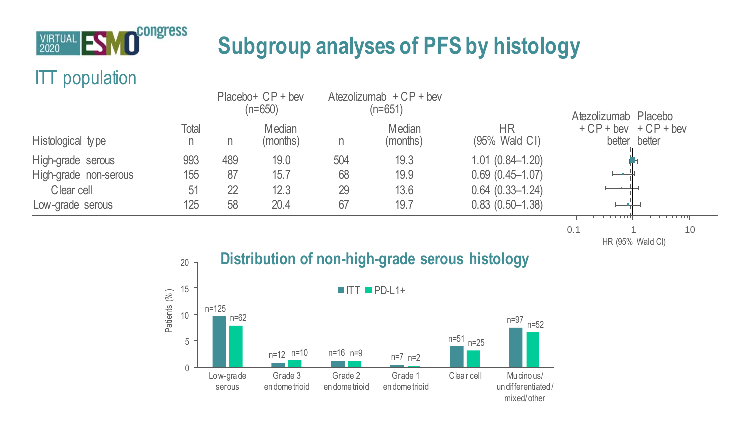

# **Subgroup analyses of PFS by histology**

## ITT population

|                       |       | $Placebo+ CP + bev$<br>(n=650) |                    | Atezolizumab $+CP +$ bev<br>(n=651) |                    |                            | Atezolizumab Placebo                     |
|-----------------------|-------|--------------------------------|--------------------|-------------------------------------|--------------------|----------------------------|------------------------------------------|
| Histological type     | Total | n                              | Median<br>(months) |                                     | Median<br>(months) | <b>HR</b><br>(95% Wald CI) | $+ CP + beV + CP + beV$<br>better better |
| High-grade serous     | 993   | 489                            | 19.0               | 504                                 | 19.3               | $1.01(0.84 - 1.20)$        |                                          |
| High-grade non-serous | 155   | 87                             | 15.7               | 68                                  | 19.9               | $0.69(0.45 - 1.07)$        | سمسا                                     |
| Clear cell            | 51    | 22                             | 12.3               | 29                                  | 13.6               | $0.64(0.33 - 1.24)$        |                                          |
| Low-grade serous      | 125   | 58                             | 20.4               | 67                                  | 19.7               | $0.83(0.50-1.38)$          | <del>.</del><br><del>.</del>             |

0.1 1 10 HR (95% Wald CI)

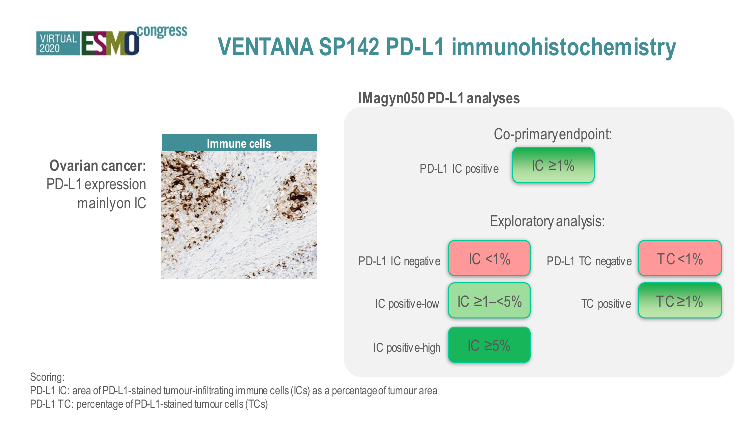

# **VENTANA SP142 PD-L1 immunohistochemistry**

**IMagyn050 PD-L1 analyses**







Scoring:

PD-L1 IC: area of PD-L1-stained tumour-infiltrating immune cells (ICs) as a percentage of tumour area

PD-L1 TC: percentage of PD-L1-stained tumour cells (TCs)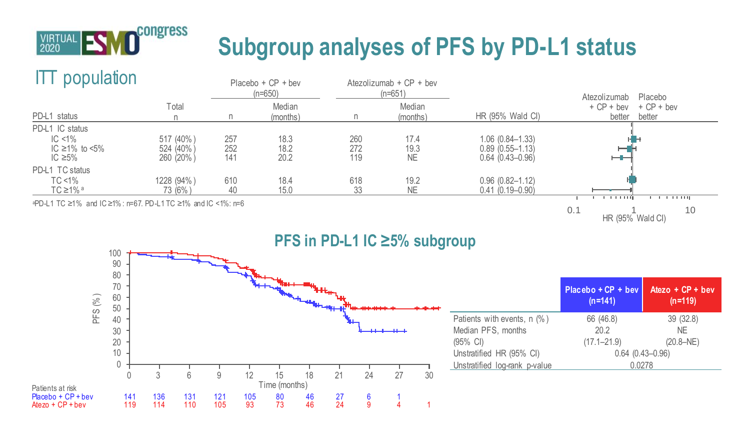

# **Subgroup analyses of PFS by PD-L1 status**

### ITT population



0.1 1 10 HR (95% Wald CI)



|                               | Placebo + CP + bev<br>$(n=141)$ | Atezo + $CP +$ bev<br>$(n=119)$ |  |  |
|-------------------------------|---------------------------------|---------------------------------|--|--|
| Patients with events, n (%)   | 66 (46.8)                       | 39 (32.8)                       |  |  |
| Median PFS, months            | 20.2                            | <b>NE</b>                       |  |  |
| (95% CI)                      | $(17.1 - 21.9)$                 | $(20.8-NE)$                     |  |  |
| Unstratified HR (95% CI)      | $0.64$ $(0.43 - 0.96)$          |                                 |  |  |
| Unstratified log-rank p-value | 0.0278                          |                                 |  |  |
|                               |                                 |                                 |  |  |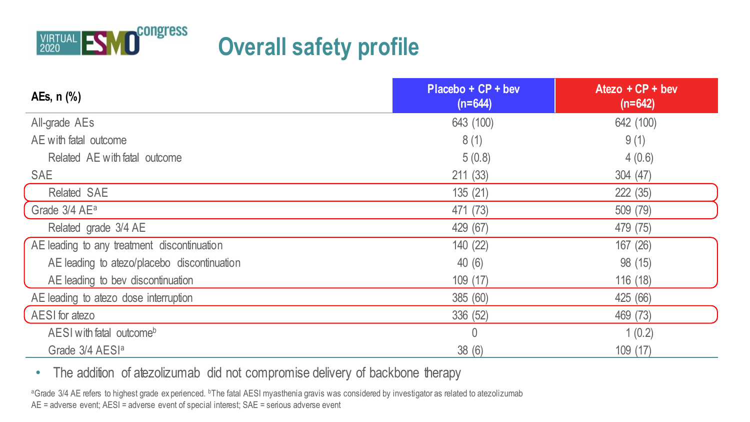

# **Overall safety profile**

| AEs, n (%)                                  | Placebo + CP + bev<br>$(n=644)$ | Atezo $+CP +$ bev<br>$(n=642)$ |
|---------------------------------------------|---------------------------------|--------------------------------|
| All-grade AEs                               | 643 (100)                       | 642 (100)                      |
| AE with fatal outcome                       | 8(1)                            | 9(1)                           |
| Related AE with fatal outcome               | 5(0.8)                          | 4(0.6)                         |
| <b>SAE</b>                                  | 211(33)                         | 304 (47)                       |
| Related SAE                                 | 135 (21)                        | 222 (35)                       |
| Grade 3/4 AE <sup>a</sup>                   | 471 (73)                        | 509 (79)                       |
| Related grade 3/4 AE                        | 429 (67)                        | 479 (75)                       |
| AE leading to any treatment discontinuation | 140 (22)                        | 167 (26)                       |
| AE leading to atezo/placebo discontinuation | 40(6)                           | 98 (15)                        |
| AE leading to bev discontinuation           | 109 (17)                        | 116 (18)                       |
| AE leading to atezo dose interruption       | 385 (60)                        | 425 (66)                       |
| AESI for atezo                              | 336 (52)                        | 469 (73)                       |
| AESI with fatal outcome <sup>b</sup>        | 0                               | 1(0.2)                         |
| Grade 3/4 AESI <sup>a</sup>                 | 38(6)                           | 109(17)                        |

• The addition of atezolizumab did not compromise delivery of backbone therapy

<sup>a</sup>Grade 3/4 AE refers to highest grade ex perienced. <sup>b</sup>The fatal AESI myasthenia gravis was considered by investigator as related to atezolizumab AE = adverse event; AESI = adverse event of special interest; SAE = serious adverse event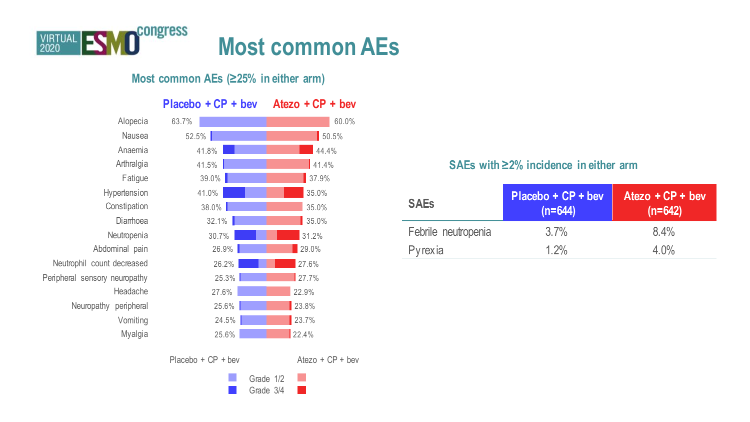

### **Most common AEs (≥25% in either arm)**

|                               | $Placebo + CP + bev$ | Atezo $+CP +$ bev  |
|-------------------------------|----------------------|--------------------|
| Alopecia                      | 63.7%                | 60.0%              |
| Nausea                        | 52.5%                | 50.5%              |
| Anaemia                       | 41.8%                | 44.4%              |
| Arthralgia                    | 41.5%                | 41.4%              |
| Fatique                       | 39.0%                | 37.9%              |
| Hypertension                  | 41.0%                | 35.0%              |
| Constipation                  | 38.0%                | 35.0%              |
| Diamoea                       | 32.1%                | 35.0%              |
| Neutropenia                   | 30.7%                | 31.2%              |
| Abdominal pain                | 26.9%                | 29.0%              |
| Neutrophil count decreased    | 26.2%                | 27.6%              |
| Peripheral sensory neuropathy | 25.3%                | 27.7%              |
| Headache                      | 27.6%                | 22.9%              |
| Neuropathy peripheral         | 25.6%                | 23.8%              |
| Vomiting                      | 24.5%                | 23.7%              |
| Myalgia                       | 25.6%                | 22.4%              |
|                               | $Placebo + CP + bev$ | Atezo + $CP +$ bev |

### **SAEs with ≥2% incidence in either arm**

| <b>SAEs</b>         | Placebo + CP + bev<br>$(n=644)$ | Atezo $+CP +$ bev<br>$(n=642)$ |
|---------------------|---------------------------------|--------------------------------|
| Febrile neutropenia | 3.7%                            | 8.4%                           |
| Pyrexia             | 1.2%                            | 4.0%                           |

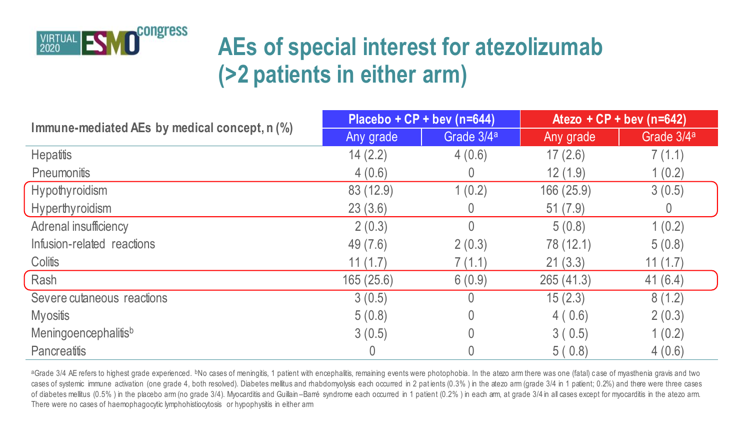

# **AEs of special interest for atezolizumab (>2 patients in either arm)**

|                                               | Placebo + $CP +$ bev (n=644) |                        | Atezo + CP + bev (n=642) |                        |  |
|-----------------------------------------------|------------------------------|------------------------|--------------------------|------------------------|--|
| Immune-mediated AEs by medical concept, n (%) | Any grade                    | Grade 3/4 <sup>a</sup> | Any grade                | Grade 3/4 <sup>a</sup> |  |
| Hepatitis                                     | 14(2.2)                      | 4(0.6)                 | 17(2.6)                  | 7(1.1)                 |  |
| Pneumonitis                                   | 4(0.6)                       |                        | 12(1.9)                  | 1(0.2)                 |  |
| Hypothyroidism                                | 83 (12.9)                    | 1(0.2)                 | 166 (25.9)               | 3(0.5)                 |  |
| Hyperthyroidism                               | 23(3.6)                      |                        | 51(7.9)                  |                        |  |
| Adrenal insufficiency                         | 2(0.3)                       |                        | 5(0.8)                   | 1(0.2)                 |  |
| Infusion-related reactions                    | 49(7.6)                      | 2(0.3)                 | 78 (12.1)                | 5(0.8)                 |  |
| Colitis                                       | 11(1.7)                      | 7(1.1)                 | 21(3.3)                  | 11(1.7)                |  |
| Rash                                          | 165(25.6)                    | 6(0.9)                 | 265 (41.3)               | 41(6.4)                |  |
| Severe cutaneous reactions                    | 3(0.5)                       |                        | 15(2.3)                  | 8(1.2)                 |  |
| <b>Myositis</b>                               | 5(0.8)                       |                        | 4(0.6)                   | 2(0.3)                 |  |
| Meningoencephalitisb                          | 3(0.5)                       |                        | 3(0.5)                   | 1(0.2)                 |  |
| Pancreatitis                                  |                              |                        | 5(0.8)                   | 4(0.6)                 |  |

<sup>a</sup>Grade 3/4 AE refers to highest grade experienced. <sup>b</sup>No cases of meningitis, 1 patient with encephalitis, remaining events were photophobia. In the atezo arm there was one (fatal) case of myasthenia gravis and two cases of systemic immune activation (one grade 4, both resolved). Diabetes mellitus and rhabdomyolysis each occurred in 2 pat ients (0.3%) in the atezo arm (grade 3/4 in 1 patient; 0.2%) and there were three cases of diabetes mellitus (0.5%) in the placebo arm (no grade 3/4). Myocarditis and Guillain –Barré syndrome each occurred in 1 patient (0.2%) in each arm, at grade 3/4 in all cases except for myocarditis in the atezo arm. There were no cases of haemophagocytic lymphohistiocytosis or hypophysitis in either arm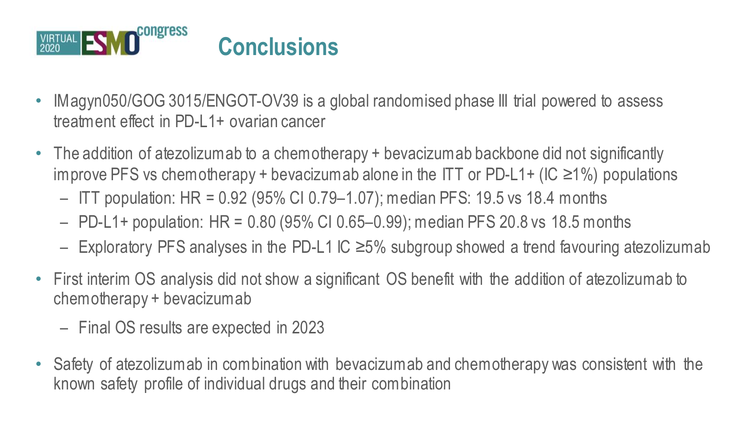

- IMagyn050/GOG 3015/ENGOT-OV39 is a global randomised phase III trial powered to assess treatment effect in PD-L1+ ovarian cancer
- The addition of atezolizumab to a chemotherapy + bevacizumab backbone did not significantly improve PFS vs chemotherapy + bevacizumab alone in the ITT or PD-L1+ (IC ≥1%) populations
	- ITT population: HR = 0.92 (95% CI 0.79–1.07); median PFS: 19.5 vs 18.4 months
	- PD-L1+ population: HR = 0.80 (95% CI 0.65–0.99); median PFS 20.8 vs 18.5 months
	- Exploratory PFS analyses in the PD-L1 IC ≥5% subgroup showed a trend favouring atezolizumab
- First interim OS analysis did not show a significant OS benefit with the addition of atezolizumab to chemotherapy + bevacizumab
	- Final OS results are expected in 2023
- Safety of atezolizumab in combination with bevacizumab and chemotherapy was consistent with the known safety profile of individual drugs and their combination